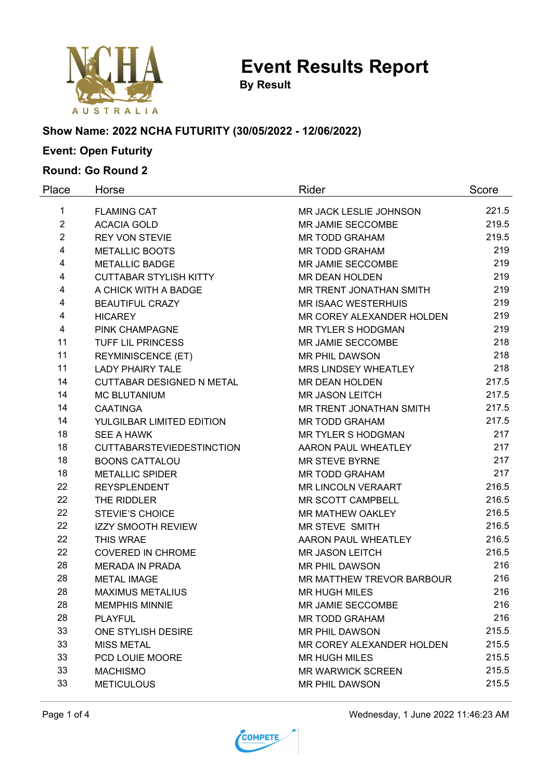

**Event Results Report**

**By Result**

#### **Show Name: 2022 NCHA FUTURITY (30/05/2022 - 12/06/2022)**

# **Event: Open Futurity**

### **Round: Go Round 2**

| Place          | Horse                            | Rider                      | Score |
|----------------|----------------------------------|----------------------------|-------|
| 1              | <b>FLAMING CAT</b>               | MR JACK LESLIE JOHNSON     | 221.5 |
| $\overline{2}$ | <b>ACACIA GOLD</b>               | MR JAMIE SECCOMBE          | 219.5 |
| $\overline{2}$ | <b>REY VON STEVIE</b>            | <b>MR TODD GRAHAM</b>      | 219.5 |
| 4              | <b>METALLIC BOOTS</b>            | <b>MR TODD GRAHAM</b>      | 219   |
| 4              | <b>METALLIC BADGE</b>            | MR JAMIE SECCOMBE          | 219   |
| 4              | <b>CUTTABAR STYLISH KITTY</b>    | <b>MR DEAN HOLDEN</b>      | 219   |
| 4              | A CHICK WITH A BADGE             | MR TRENT JONATHAN SMITH    | 219   |
| 4              | <b>BEAUTIFUL CRAZY</b>           | <b>MR ISAAC WESTERHUIS</b> | 219   |
| 4              | <b>HICAREY</b>                   | MR COREY ALEXANDER HOLDEN  | 219   |
| 4              | PINK CHAMPAGNE                   | <b>MR TYLER S HODGMAN</b>  | 219   |
| 11             | <b>TUFF LIL PRINCESS</b>         | MR JAMIE SECCOMBE          | 218   |
| 11             | <b>REYMINISCENCE (ET)</b>        | <b>MR PHIL DAWSON</b>      | 218   |
| 11             | <b>LADY PHAIRY TALE</b>          | MRS LINDSEY WHEATLEY       | 218   |
| 14             | <b>CUTTABAR DESIGNED N METAL</b> | MR DEAN HOLDEN             | 217.5 |
| 14             | <b>MC BLUTANIUM</b>              | <b>MR JASON LEITCH</b>     | 217.5 |
| 14             | <b>CAATINGA</b>                  | MR TRENT JONATHAN SMITH    | 217.5 |
| 14             | YULGILBAR LIMITED EDITION        | <b>MR TODD GRAHAM</b>      | 217.5 |
| 18             | <b>SEE A HAWK</b>                | <b>MR TYLER S HODGMAN</b>  | 217   |
| 18             | <b>CUTTABARSTEVIEDESTINCTION</b> | <b>AARON PAUL WHEATLEY</b> | 217   |
| 18             | <b>BOONS CATTALOU</b>            | <b>MR STEVE BYRNE</b>      | 217   |
| 18             | <b>METALLIC SPIDER</b>           | <b>MR TODD GRAHAM</b>      | 217   |
| 22             | <b>REYSPLENDENT</b>              | MR LINCOLN VERAART         | 216.5 |
| 22             | THE RIDDLER                      | MR SCOTT CAMPBELL          | 216.5 |
| 22             | <b>STEVIE'S CHOICE</b>           | MR MATHEW OAKLEY           | 216.5 |
| 22             | <b>IZZY SMOOTH REVIEW</b>        | MR STEVE SMITH             | 216.5 |
| 22             | THIS WRAE                        | AARON PAUL WHEATLEY        | 216.5 |
| 22             | <b>COVERED IN CHROME</b>         | <b>MR JASON LEITCH</b>     | 216.5 |
| 28             | <b>MERADA IN PRADA</b>           | <b>MR PHIL DAWSON</b>      | 216   |
| 28             | <b>METAL IMAGE</b>               | MR MATTHEW TREVOR BARBOUR  | 216   |
| 28             | <b>MAXIMUS METALIUS</b>          | <b>MR HUGH MILES</b>       | 216   |
| 28             | <b>MEMPHIS MINNIE</b>            | MR JAMIE SECCOMBE          | 216   |
| 28             | <b>PLAYFUL</b>                   | <b>MR TODD GRAHAM</b>      | 216   |
| 33             | ONE STYLISH DESIRE               | MR PHIL DAWSON             | 215.5 |
| 33             | <b>MISS METAL</b>                | MR COREY ALEXANDER HOLDEN  | 215.5 |
| 33<br>33       | PCD LOUIE MOORE                  | <b>MR HUGH MILES</b>       | 215.5 |
|                | <b>MACHISMO</b>                  | <b>MR WARWICK SCREEN</b>   | 215.5 |
| 33             | <b>METICULOUS</b>                | MR PHIL DAWSON             | 215.5 |

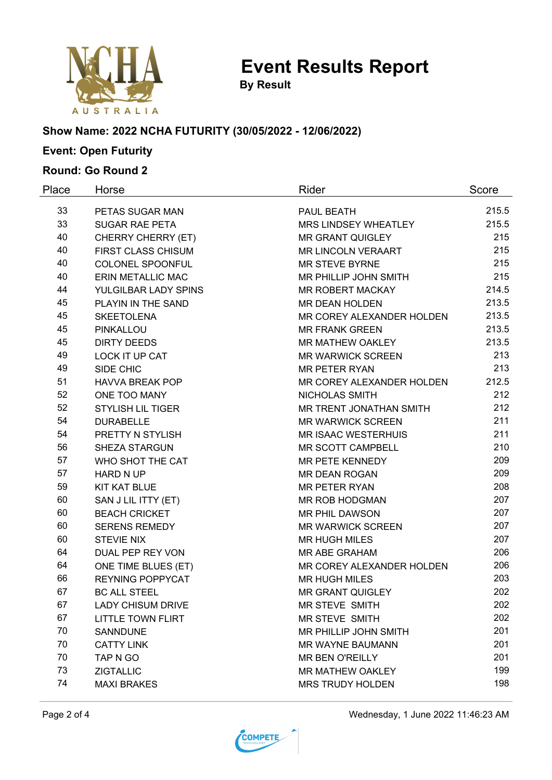

**Event Results Report**

**By Result**

# **Show Name: 2022 NCHA FUTURITY (30/05/2022 - 12/06/2022)**

# **Event: Open Futurity**

### **Round: Go Round 2**

| Place | Horse                     | Rider                        | Score |
|-------|---------------------------|------------------------------|-------|
| 33    | PETAS SUGAR MAN           | PAUL BEATH                   | 215.5 |
| 33    | <b>SUGAR RAE PETA</b>     | MRS LINDSEY WHEATLEY         | 215.5 |
| 40    | CHERRY CHERRY (ET)        | <b>MR GRANT QUIGLEY</b>      | 215   |
| 40    | <b>FIRST CLASS CHISUM</b> | <b>MR LINCOLN VERAART</b>    | 215   |
| 40    | COLONEL SPOONFUL          | <b>MR STEVE BYRNE</b>        | 215   |
| 40    | <b>ERIN METALLIC MAC</b>  | MR PHILLIP JOHN SMITH        | 215   |
| 44    | YULGILBAR LADY SPINS      | <b>MR ROBERT MACKAY</b>      | 214.5 |
| 45    | PLAYIN IN THE SAND        | <b>MR DEAN HOLDEN</b>        | 213.5 |
| 45    | <b>SKEETOLENA</b>         | MR COREY ALEXANDER HOLDEN    | 213.5 |
| 45    | PINKALLOU                 | <b>MR FRANK GREEN</b>        | 213.5 |
| 45    | <b>DIRTY DEEDS</b>        | MR MATHEW OAKLEY             | 213.5 |
| 49    | LOCK IT UP CAT            | <b>MR WARWICK SCREEN</b>     | 213   |
| 49    | SIDE CHIC                 | <b>MR PETER RYAN</b>         | 213   |
| 51    | <b>HAVVA BREAK POP</b>    | MR COREY ALEXANDER HOLDEN    | 212.5 |
| 52    | ONE TOO MANY              | NICHOLAS SMITH               | 212   |
| 52    | <b>STYLISH LIL TIGER</b>  | MR TRENT JONATHAN SMITH      | 212   |
| 54    | <b>DURABELLE</b>          | <b>MR WARWICK SCREEN</b>     | 211   |
| 54    | PRETTY N STYLISH          | <b>MR ISAAC WESTERHUIS</b>   | 211   |
| 56    | <b>SHEZA STARGUN</b>      | MR SCOTT CAMPBELL            | 210   |
| 57    | WHO SHOT THE CAT          | MR PETE KENNEDY              | 209   |
| 57    | <b>HARD N UP</b>          | <b>MR DEAN ROGAN</b>         | 209   |
| 59    | <b>KIT KAT BLUE</b>       | <b>MR PETER RYAN</b>         | 208   |
| 60    | SAN J LIL ITTY (ET)       | MR ROB HODGMAN               | 207   |
| 60    | <b>BEACH CRICKET</b>      | MR PHIL DAWSON               | 207   |
| 60    | <b>SERENS REMEDY</b>      | <b>MR WARWICK SCREEN</b>     | 207   |
| 60    | <b>STEVIE NIX</b>         | <b>MR HUGH MILES</b>         | 207   |
| 64    | DUAL PEP REY VON          | MR ABE GRAHAM                | 206   |
| 64    | ONE TIME BLUES (ET)       | MR COREY ALEXANDER HOLDEN    | 206   |
| 66    | <b>REYNING POPPYCAT</b>   | <b>MR HUGH MILES</b>         | 203   |
| 67    | <b>BC ALL STEEL</b>       | <b>MR GRANT QUIGLEY</b>      | 202   |
| 67    | <b>LADY CHISUM DRIVE</b>  | MR STEVE SMITH               | 202   |
| 67    | <b>LITTLE TOWN FLIRT</b>  | MR STEVE SMITH               | 202   |
| 70    | <b>SANNDUNE</b>           | <b>MR PHILLIP JOHN SMITH</b> | 201   |
| 70    | <b>CATTY LINK</b>         | <b>MR WAYNE BAUMANN</b>      | 201   |
| 70    | TAP N GO                  | <b>MR BEN O'REILLY</b>       | 201   |
| 73    | <b>ZIGTALLIC</b>          | MR MATHEW OAKLEY             | 199   |
| 74    | <b>MAXI BRAKES</b>        | <b>MRS TRUDY HOLDEN</b>      | 198   |

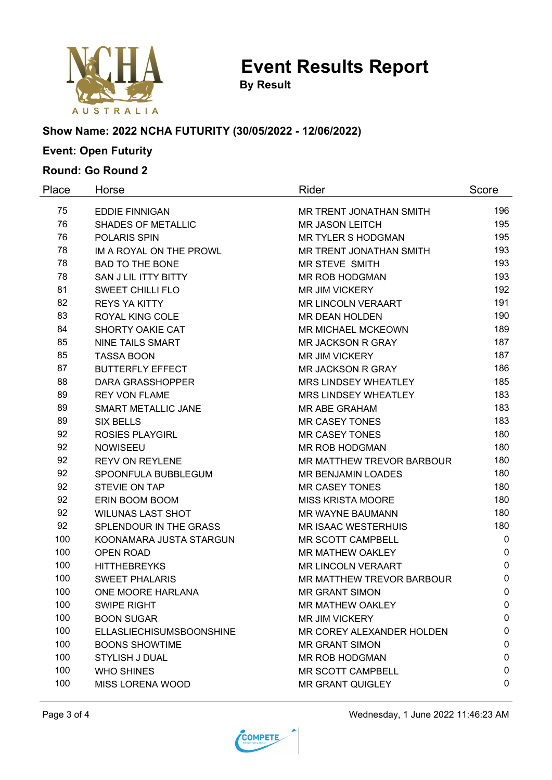

**Event Results Report**

**By Result**

# **Show Name: 2022 NCHA FUTURITY (30/05/2022 - 12/06/2022)**

# **Event: Open Futurity**

### **Round: Go Round 2**

| Place | Horse                           | Rider                       | Score       |
|-------|---------------------------------|-----------------------------|-------------|
| 75    | <b>EDDIE FINNIGAN</b>           | MR TRENT JONATHAN SMITH     | 196         |
| 76    | <b>SHADES OF METALLIC</b>       | <b>MR JASON LEITCH</b>      | 195         |
| 76    | <b>POLARIS SPIN</b>             | <b>MR TYLER S HODGMAN</b>   | 195         |
| 78    | IM A ROYAL ON THE PROWL         | MR TRENT JONATHAN SMITH     | 193         |
| 78    | <b>BAD TO THE BONE</b>          | MR STEVE SMITH              | 193         |
| 78    | SAN J LIL ITTY BITTY            | MR ROB HODGMAN              | 193         |
| 81    | <b>SWEET CHILLI FLO</b>         | <b>MR JIM VICKERY</b>       | 192         |
| 82    | <b>REYS YA KITTY</b>            | <b>MR LINCOLN VERAART</b>   | 191         |
| 83    | <b>ROYAL KING COLE</b>          | <b>MR DEAN HOLDEN</b>       | 190         |
| 84    | SHORTY OAKIE CAT                | MR MICHAEL MCKEOWN          | 189         |
| 85    | <b>NINE TAILS SMART</b>         | MR JACKSON R GRAY           | 187         |
| 85    | <b>TASSA BOON</b>               | <b>MR JIM VICKERY</b>       | 187         |
| 87    | <b>BUTTERFLY EFFECT</b>         | <b>MR JACKSON R GRAY</b>    | 186         |
| 88    | <b>DARA GRASSHOPPER</b>         | <b>MRS LINDSEY WHEATLEY</b> | 185         |
| 89    | <b>REY VON FLAME</b>            | MRS LINDSEY WHEATLEY        | 183         |
| 89    | SMART METALLIC JANE             | MR ABE GRAHAM               | 183         |
| 89    | <b>SIX BELLS</b>                | <b>MR CASEY TONES</b>       | 183         |
| 92    | <b>ROSIES PLAYGIRL</b>          | <b>MR CASEY TONES</b>       | 180         |
| 92    | <b>NOWISEEU</b>                 | <b>MR ROB HODGMAN</b>       | 180         |
| 92    | <b>REYV ON REYLENE</b>          | MR MATTHEW TREVOR BARBOUR   | 180         |
| 92    | SPOONFULA BUBBLEGUM             | <b>MR BENJAMIN LOADES</b>   | 180         |
| 92    | STEVIE ON TAP                   | <b>MR CASEY TONES</b>       | 180         |
| 92    | ERIN BOOM BOOM                  | <b>MISS KRISTA MOORE</b>    | 180         |
| 92    | <b>WILUNAS LAST SHOT</b>        | MR WAYNE BAUMANN            | 180         |
| 92    | SPLENDOUR IN THE GRASS          | <b>MR ISAAC WESTERHUIS</b>  | 180         |
| 100   | KOONAMARA JUSTA STARGUN         | MR SCOTT CAMPBELL           | $\mathbf 0$ |
| 100   | <b>OPEN ROAD</b>                | MR MATHEW OAKLEY            | $\pmb{0}$   |
| 100   | <b>HITTHEBREYKS</b>             | <b>MR LINCOLN VERAART</b>   | $\pmb{0}$   |
| 100   | <b>SWEET PHALARIS</b>           | MR MATTHEW TREVOR BARBOUR   | $\pmb{0}$   |
| 100   | ONE MOORE HARLANA               | <b>MR GRANT SIMON</b>       | $\mathbf 0$ |
| 100   | <b>SWIPE RIGHT</b>              | MR MATHEW OAKLEY            | 0           |
| 100   | <b>BOON SUGAR</b>               | <b>MR JIM VICKERY</b>       | 0           |
| 100   | <b>ELLASLIECHISUMSBOONSHINE</b> | MR COREY ALEXANDER HOLDEN   | 0           |
| 100   | <b>BOONS SHOWTIME</b>           | <b>MR GRANT SIMON</b>       | 0           |
| 100   | STYLISH J DUAL                  | MR ROB HODGMAN              | 0           |
| 100   | <b>WHO SHINES</b>               | MR SCOTT CAMPBELL           | 0           |
| 100   | <b>MISS LORENA WOOD</b>         | <b>MR GRANT QUIGLEY</b>     | 0           |